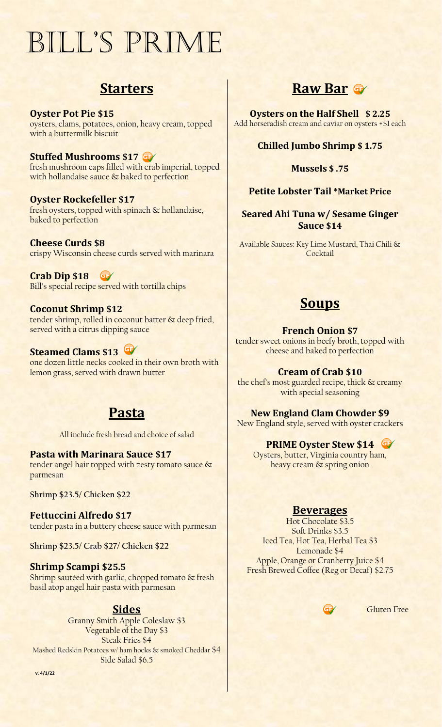# Bill's Prime

# **Starters**

**Oyster Pot Pie \$15** oysters, clams, potatoes, onion, heavy cream, topped with a buttermilk biscuit

**Stuffed Mushrooms \$17** fresh mushroom caps filled with crab imperial, topped with hollandaise sauce & baked to perfection

**Oyster Rockefeller \$17** fresh oysters, topped with spinach & hollandaise, baked to perfection

**Cheese Curds \$8** crispy Wisconsin cheese curds served with marinara

**Crab Dip \$18** Bill's special recipe served with tortilla chips

# **Coconut Shrimp \$12**

tender shrimp, rolled in coconut batter & deep fried, served with a citrus dipping sauce

# **Steamed Clams \$13**

one dozen little necks cooked in their own broth with lemon grass, served with drawn butter

# **Pasta**

All include fresh bread and choice of salad

**Pasta with Marinara Sauce \$17** tender angel hair topped with zesty tomato sauce & parmesan

**Shrimp \$23.5/ Chicken \$22**

**Fettuccini Alfredo \$17** tender pasta in a buttery cheese sauce with parmesan

**Shrimp \$23.5/ Crab \$27/ Chicken \$22**

## **Shrimp Scampi \$25.5**

Shrimp sautéed with garlic, chopped tomato & fresh basil atop angel hair pasta with parmesan

# **Sides**

Granny Smith Apple Coleslaw \$3 Vegetable of the Day \$3 Steak Fries \$4 Mashed Redskin Potatoes w/ ham hocks & smoked Cheddar \$4 Side Salad \$6.5

**Raw Bar**

**Oysters on the Half Shell \$ 2.25** Add horseradish cream and caviar on oysters +\$1 each

# **Chilled Jumbo Shrimp \$ 1.75**

#### **Mussels \$ .75**

# **Petite Lobster Tail \*Market Price**

## **Seared Ahi Tuna w/ Sesame Ginger Sauce \$14**

Available Sauces: Key Lime Mustard, Thai Chili & Cocktail

# **Soups**

#### **French Onion \$7**

tender sweet onions in beefy broth, topped with cheese and baked to perfection

## **Cream of Crab \$10**

the chef's most guarded recipe, thick & creamy with special seasoning

**New England Clam Chowder \$9** New England style, served with oyster crackers

# **PRIME Oyster Stew \$14**

Oysters, butter, Virginia country ham, heavy cream & spring onion

## **Beverages**

Hot Chocolate \$3.5 Soft Drinks \$3.5 Iced Tea, Hot Tea, Herbal Tea \$3 Lemonade \$4 Apple, Orange or Cranberry Juice \$4 Fresh Brewed Coffee (Reg or Decaf) \$2.75

G

Gluten Free

**v. 4/1/22**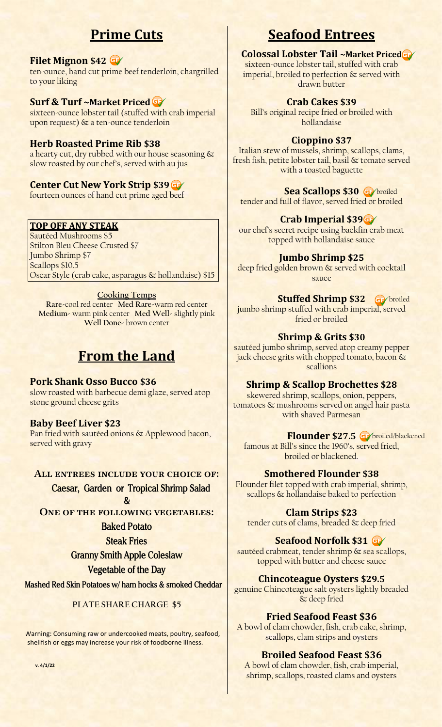# **Prime Cuts**

#### **Filet Mignon \$42**

ten-ounce, hand cut prime beef tenderloin, chargrilled to your liking

#### **Surf & Turf ~Market Priced**

sixteen-ounce lobster tail (stuffed with crab imperial upon request) & a ten-ounce tenderloin

#### **Herb Roasted Prime Rib \$38**

a hearty cut, dry rubbed with our house seasoning & slow roasted by our chef's, served with au jus

# **Center Cut New York Strip \$39**

fourteen ounces of hand cut prime aged beef

# **TOP OFF ANY STEAK**

Sautéed Mushrooms \$5 Stilton Bleu Cheese Crusted \$7 Jumbo Shrimp \$7 Scallops \$10.5 Oscar Style (crab cake, asparagus & hollandaise) \$15

#### **Cooking Temps**

**Rare-**cool red center **Med Rare-**warm red center **Medium-** warm pink center **Med Well-** slightly pink **Well Done-** brown center

# **From the Land**

#### **Pork Shank Osso Bucco \$36**

slow roasted with barbecue demi glaze, served atop stone ground cheese grits

#### **Baby Beef Liver \$23**

Pan fried with sautéed onions & Applewood bacon, served with gravy

#### **All entrees include your choice of:**

 **Caesar, Garden or Tropical Shrimp Salad**

 $\boldsymbol{\mathcal{R}}$ **ONE OF THE FOLLOWING VEGETABLES:** 

# **Baked Potato**

**Steak Fries**

## **Granny Smith Apple Coleslaw**

#### **Vegetable of the Day**

**Mashed Red Skin Potatoes w/ ham hocks & smoked Cheddar**

#### **PLATE SHARE CHARGE \$5**

 Warning: Consuming raw or undercooked meats, poultry, seafood, shellfish or eggs may increase your risk of foodborne illness.

**v. 4/1/22**

# **Seafood Entrees**

#### **Colossal Lobster Tail ~Market Priced**

sixteen-ounce lobster tail, stuffed with crab imperial, broiled to perfection & served with drawn butter

## **Crab Cakes \$39**

Bill's original recipe fried or broiled with hollandaise

#### **Cioppino \$37**

Italian stew of mussels, shrimp, scallops, clams, fresh fish, petite lobster tail, basil & tomato served with a toasted baguette

#### **Sea Scallops \$30 Ge**

tender and full of flavor, served fried or broiled

# **Crab Imperial \$39**

our chef's secret recipe using backfin crab meat topped with hollandaise sauce

#### **Jumbo Shrimp \$25**

deep fried golden brown & served with cocktail sauce

#### **Stuffed Shrimp \$32** Ge broiled

jumbo shrimp stuffed with crab imperial, served fried or broiled

#### **Shrimp & Grits \$30**

sautéed jumbo shrimp, served atop creamy pepper jack cheese grits with chopped tomato, bacon & scallions

#### **Shrimp & Scallop Brochettes \$28**

skewered shrimp, scallops, onion, peppers, tomatoes & mushrooms served on angel hair pasta with shaved Parmesan

#### **Flounder \$27.5 o** broiled/blackened

famous at Bill's since the 1960's, served fried, broiled or blackened.

#### **Smothered Flounder \$38**

Flounder filet topped with crab imperial, shrimp, scallops & hollandaise baked to perfection

#### **Clam Strips \$23**

tender cuts of clams, breaded & deep fried

#### **Seafood Norfolk \$31**

sautéed crabmeat, tender shrimp & sea scallops, topped with butter and cheese sauce

#### **Chincoteague Oysters \$29.5**

genuine Chincoteague salt oysters lightly breaded & deep fried

#### **Fried Seafood Feast \$36**

A bowl of clam chowder, fish, crab cake, shrimp, scallops, clam strips and oysters

#### **Broiled Seafood Feast \$36**

A bowl of clam chowder, fish, crab imperial, shrimp, scallops, roasted clams and oysters